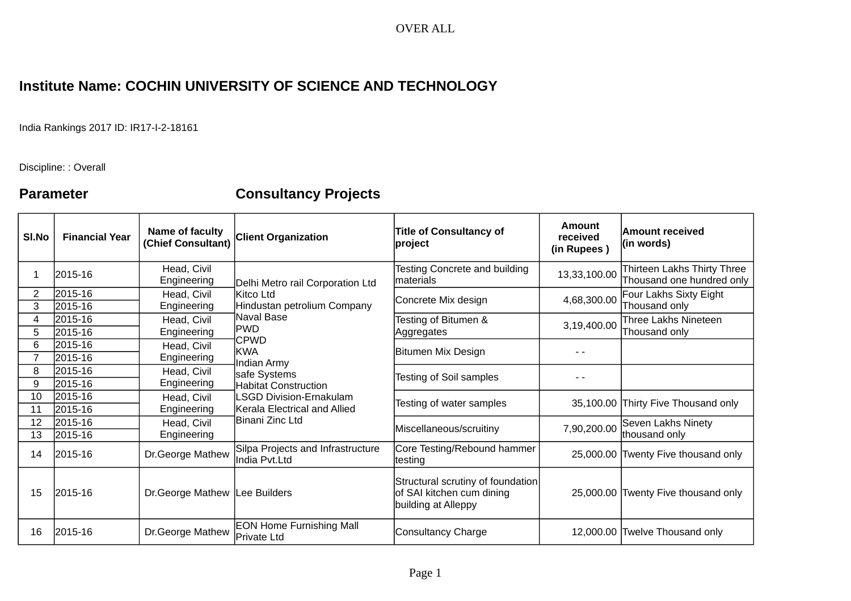### OVER ALL

## **Institute Name: COCHIN UNIVERSITY OF SCIENCE AND TECHNOLOGY**

India Rankings 2017 ID: IR17-I-2-18161

Discipline: : Overall

# **Parameter Consultancy Projects**

| SI.No    | <b>Financial Year</b> | Name of faculty<br>(Chief Consultant) | <b>Client Organization</b>                                                                                                                                                                     | <b>Title of Consultancy of</b><br>project                                             | Amount<br>received<br>(in Rupees) | <b>Amount received</b><br>$ $ (in words)                 |
|----------|-----------------------|---------------------------------------|------------------------------------------------------------------------------------------------------------------------------------------------------------------------------------------------|---------------------------------------------------------------------------------------|-----------------------------------|----------------------------------------------------------|
|          | 2015-16               | Head, Civil<br>Engineering            | Delhi Metro rail Corporation Ltd<br>lKitco Ltd<br>Hindustan petrolium Company<br>lNaval Base<br><b>PWD</b><br><b>CPWD</b><br>KWA<br>Indian Army<br>safe Systems<br><b>Habitat Construction</b> | Testing Concrete and building<br>materials                                            | 13,33,100.00                      | Thirteen Lakhs Thirty Three<br>Thousand one hundred only |
| 2<br>3   | 2015-16<br>2015-16    | Head, Civil<br>Engineering            |                                                                                                                                                                                                | Concrete Mix design                                                                   | 4,68,300.00                       | Four Lakhs Sixty Eight<br>Thousand only                  |
| 4<br>5   | 2015-16<br>2015-16    | Head, Civil<br>Engineering            |                                                                                                                                                                                                | Testing of Bitumen &<br>Aggregates                                                    | 3,19,400.00                       | Three Lakhs Nineteen<br>Thousand only                    |
| 6        | 2015-16<br>2015-16    | Head, Civil<br>Engineering            |                                                                                                                                                                                                | Bitumen Mix Design                                                                    |                                   |                                                          |
| 8<br>9   | 2015-16<br>2015-16    | Head, Civil<br>Engineering            |                                                                                                                                                                                                | Testing of Soil samples                                                               |                                   |                                                          |
| 10<br>11 | 2015-16<br>2015-16    | Head, Civil<br>Engineering            | <b>LSGD Division-Ernakulam</b><br>Kerala Electrical and Allied                                                                                                                                 | Testing of water samples                                                              |                                   | 35,100.00 Thirty Five Thousand only                      |
| 12<br>13 | 2015-16<br>2015-16    | Head, Civil<br>Engineering            | ]Binani Zinc Ltd                                                                                                                                                                               | Miscellaneous/scruitiny                                                               | 7,90,200.00                       | Seven Lakhs Ninety<br>thousand only                      |
| 14       | 2015-16               | Dr.George Mathew                      | Silpa Projects and Infrastructure<br>India Pvt.Ltd                                                                                                                                             | Core Testing/Rebound hammer<br> testing                                               |                                   | 25,000.00 Twenty Five thousand only                      |
| 15       | 2015-16               | Dr. George Mathew Lee Builders        |                                                                                                                                                                                                | Structural scrutiny of foundation<br>of SAI kitchen cum dining<br>building at Alleppy |                                   | 25,000.00 Twenty Five thousand only                      |
| 16       | 2015-16               | Dr.George Mathew                      | <b>EON Home Furnishing Mall</b><br>Private Ltd                                                                                                                                                 | Consultancy Charge                                                                    |                                   | 12,000.00 Twelve Thousand only                           |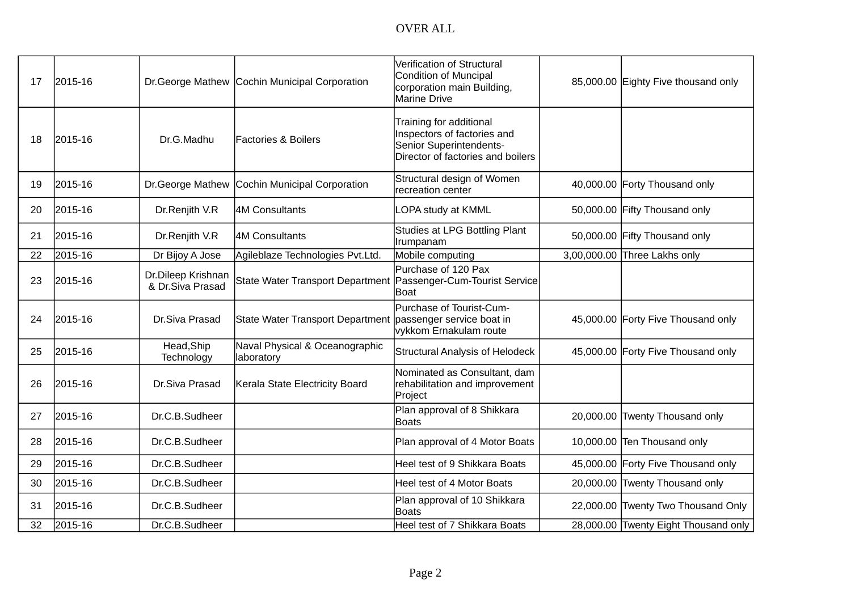## OVER ALL

| 17 | 2015-16 |                                        | Dr. George Mathew Cochin Municipal Corporation                 | Verification of Structural<br>Condition of Muncipal<br>corporation main Building,<br><b>Marine Drive</b>               | 85,000.00 Eighty Five thousand only  |
|----|---------|----------------------------------------|----------------------------------------------------------------|------------------------------------------------------------------------------------------------------------------------|--------------------------------------|
| 18 | 2015-16 | Dr.G.Madhu                             | <b>Factories &amp; Boilers</b>                                 | Training for additional<br>Inspectors of factories and<br>Senior Superintendents-<br>Director of factories and boilers |                                      |
| 19 | 2015-16 | Dr.George Mathew                       | Cochin Municipal Corporation                                   | Structural design of Women<br>recreation center                                                                        | 40,000.00 Forty Thousand only        |
| 20 | 2015-16 | Dr.Renjith V.R                         | 4M Consultants                                                 | LOPA study at KMML                                                                                                     | 50,000.00 Fifty Thousand only        |
| 21 | 2015-16 | Dr.Renjith V.R                         | 4M Consultants                                                 | Studies at LPG Bottling Plant<br>Irumpanam                                                                             | 50,000.00 Fifty Thousand only        |
| 22 | 2015-16 | Dr Bijoy A Jose                        | Agileblaze Technologies Pvt.Ltd.                               | Mobile computing                                                                                                       | 3,00,000.00 Three Lakhs only         |
| 23 | 2015-16 | Dr.Dileep Krishnan<br>& Dr.Siva Prasad | State Water Transport Department Passenger-Cum-Tourist Service | Purchase of 120 Pax<br> Boat                                                                                           |                                      |
| 24 | 2015-16 | Dr.Siva Prasad                         | State Water Transport Department                               | Purchase of Tourist-Cum-<br>passenger service boat in<br>vykkom Ernakulam route                                        | 45,000.00 Forty Five Thousand only   |
| 25 | 2015-16 | Head, Ship<br>Technology               | Naval Physical & Oceanographic<br>laboratory                   | <b>Structural Analysis of Helodeck</b>                                                                                 | 45,000.00 Forty Five Thousand only   |
| 26 | 2015-16 | Dr.Siva Prasad                         | Kerala State Electricity Board                                 | Nominated as Consultant, dam<br>rehabilitation and improvement<br>Project                                              |                                      |
| 27 | 2015-16 | Dr.C.B.Sudheer                         |                                                                | Plan approval of 8 Shikkara<br><b>Boats</b>                                                                            | 20,000.00 Twenty Thousand only       |
| 28 | 2015-16 | Dr.C.B.Sudheer                         |                                                                | Plan approval of 4 Motor Boats                                                                                         | 10,000.00 Ten Thousand only          |
| 29 | 2015-16 | Dr.C.B.Sudheer                         |                                                                | Heel test of 9 Shikkara Boats                                                                                          | 45,000.00 Forty Five Thousand only   |
| 30 | 2015-16 | Dr.C.B.Sudheer                         |                                                                | Heel test of 4 Motor Boats                                                                                             | 20,000.00 Twenty Thousand only       |
| 31 | 2015-16 | Dr.C.B.Sudheer                         |                                                                | Plan approval of 10 Shikkara<br>Boats                                                                                  | 22,000.00 Twenty Two Thousand Only   |
| 32 | 2015-16 | Dr.C.B.Sudheer                         |                                                                | Heel test of 7 Shikkara Boats                                                                                          | 28,000.00 Twenty Eight Thousand only |